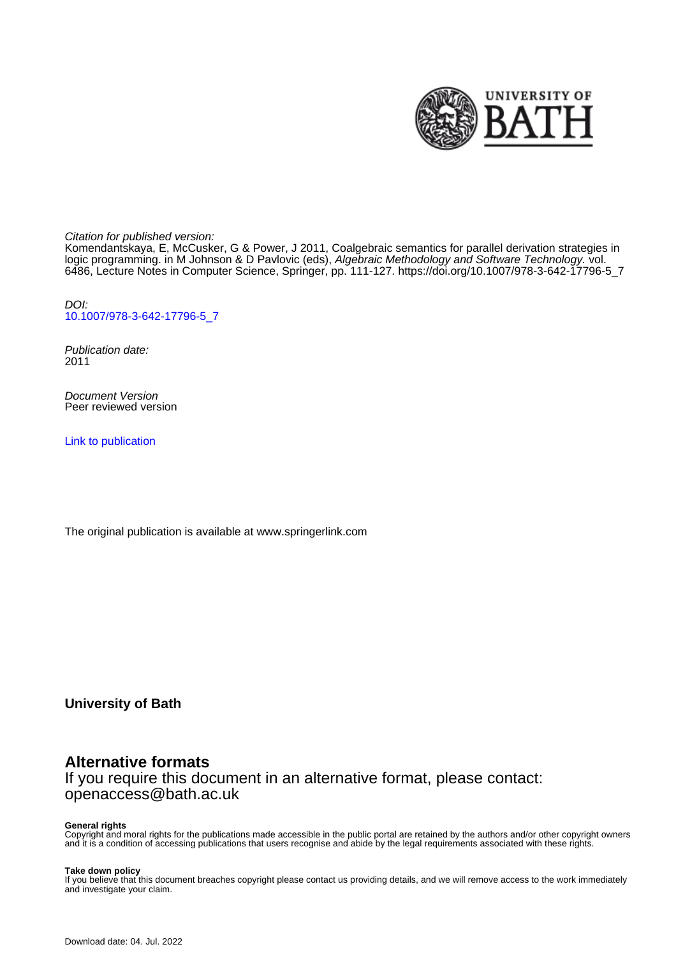

Citation for published version:

Komendantskaya, E, McCusker, G & Power, J 2011, Coalgebraic semantics for parallel derivation strategies in logic programming. in M Johnson & D Pavlovic (eds), Algebraic Methodology and Software Technology. vol. 6486, Lecture Notes in Computer Science, Springer, pp. 111-127. [https://doi.org/10.1007/978-3-642-17796-5\\_7](https://doi.org/10.1007/978-3-642-17796-5_7)

DOI: [10.1007/978-3-642-17796-5\\_7](https://doi.org/10.1007/978-3-642-17796-5_7)

Publication date: 2011

Document Version Peer reviewed version

[Link to publication](https://researchportal.bath.ac.uk/en/publications/coalgebraic-semantics-for-parallel-derivation-strategies-in-logic-programming(f3d3eece-c777-4fce-bd09-a45cb0e030bd).html)

The original publication is available at www.springerlink.com

**University of Bath**

## **Alternative formats**

If you require this document in an alternative format, please contact: openaccess@bath.ac.uk

#### **General rights**

Copyright and moral rights for the publications made accessible in the public portal are retained by the authors and/or other copyright owners and it is a condition of accessing publications that users recognise and abide by the legal requirements associated with these rights.

#### **Take down policy**

If you believe that this document breaches copyright please contact us providing details, and we will remove access to the work immediately and investigate your claim.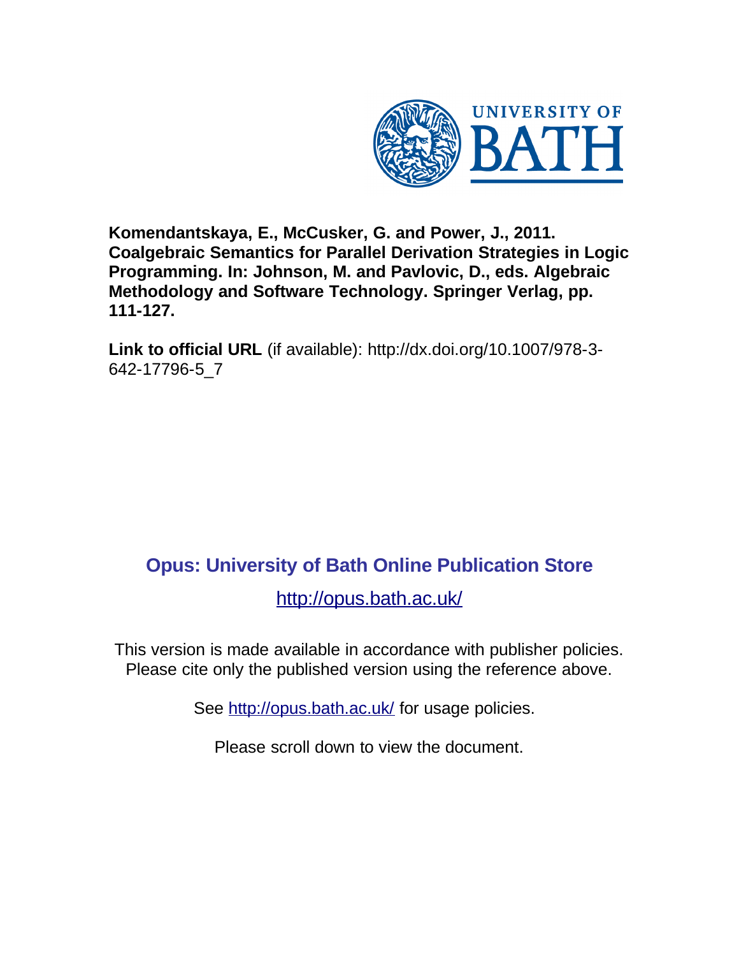

**Komendantskaya, E., McCusker, G. and Power, J., 2011. Coalgebraic Semantics for Parallel Derivation Strategies in Logic Programming. In: Johnson, M. and Pavlovic, D., eds. Algebraic Methodology and Software Technology. Springer Verlag, pp. 111-127.**

**Link to official URL** (if available): http://dx.doi.org/10.1007/978-3- 642-17796-5\_7

# **Opus: University of Bath Online Publication Store**

<http://opus.bath.ac.uk/>

This version is made available in accordance with publisher policies. Please cite only the published version using the reference above.

See<http://opus.bath.ac.uk/> for usage policies.

Please scroll down to view the document.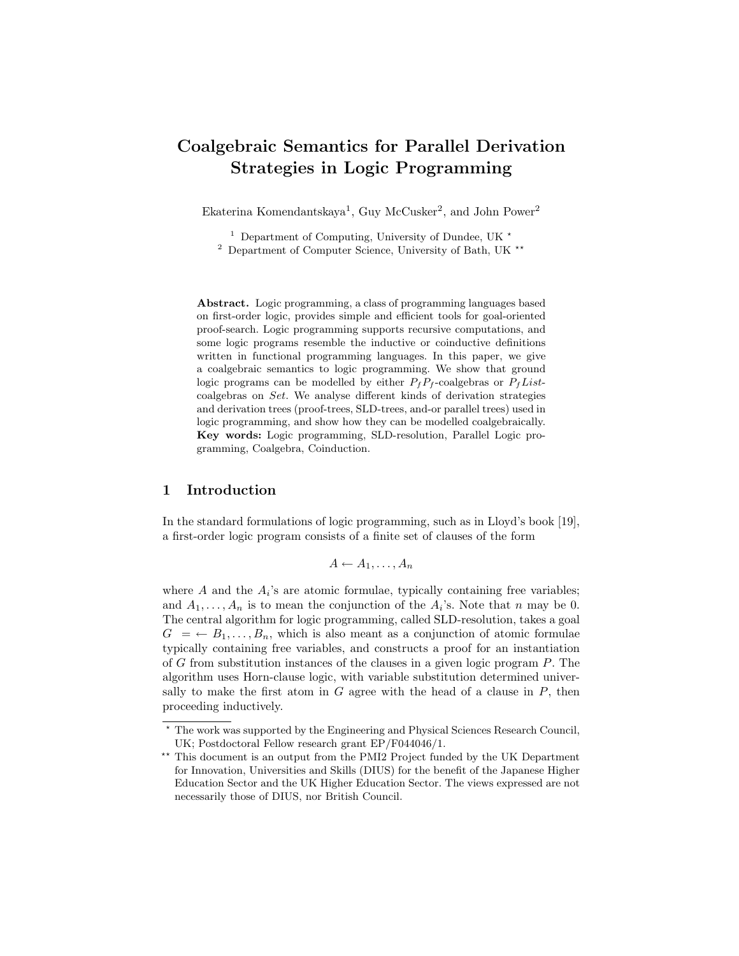# Coalgebraic Semantics for Parallel Derivation Strategies in Logic Programming

Ekaterina Komendantskaya<sup>1</sup>, Guy McCusker<sup>2</sup>, and John Power<sup>2</sup>

<sup>1</sup> Department of Computing, University of Dundee, UK  $\star$ 

 $2$  Department of Computer Science, University of Bath, UK  $**$ 

Abstract. Logic programming, a class of programming languages based on first-order logic, provides simple and efficient tools for goal-oriented proof-search. Logic programming supports recursive computations, and some logic programs resemble the inductive or coinductive definitions written in functional programming languages. In this paper, we give a coalgebraic semantics to logic programming. We show that ground logic programs can be modelled by either  $P_fP_f$ -coalgebras or  $P_fList$ coalgebras on Set. We analyse different kinds of derivation strategies and derivation trees (proof-trees, SLD-trees, and-or parallel trees) used in logic programming, and show how they can be modelled coalgebraically. Key words: Logic programming, SLD-resolution, Parallel Logic programming, Coalgebra, Coinduction.

#### 1 Introduction

In the standard formulations of logic programming, such as in Lloyd's book [19], a first-order logic program consists of a finite set of clauses of the form

$$
A \leftarrow A_1, \ldots, A_n
$$

where  $A$  and the  $A_i$ 's are atomic formulae, typically containing free variables; and  $A_1, \ldots, A_n$  is to mean the conjunction of the  $A_i$ 's. Note that n may be 0. The central algorithm for logic programming, called SLD-resolution, takes a goal  $G = \leftarrow B_1, \ldots, B_n$ , which is also meant as a conjunction of atomic formulae typically containing free variables, and constructs a proof for an instantiation of G from substitution instances of the clauses in a given logic program  $P$ . The algorithm uses Horn-clause logic, with variable substitution determined universally to make the first atom in  $G$  agree with the head of a clause in  $P$ , then proceeding inductively.

<sup>?</sup> The work was supported by the Engineering and Physical Sciences Research Council, UK; Postdoctoral Fellow research grant EP/F044046/1.

<sup>\*\*</sup> This document is an output from the PMI2 Project funded by the UK Department for Innovation, Universities and Skills (DIUS) for the benefit of the Japanese Higher Education Sector and the UK Higher Education Sector. The views expressed are not necessarily those of DIUS, nor British Council.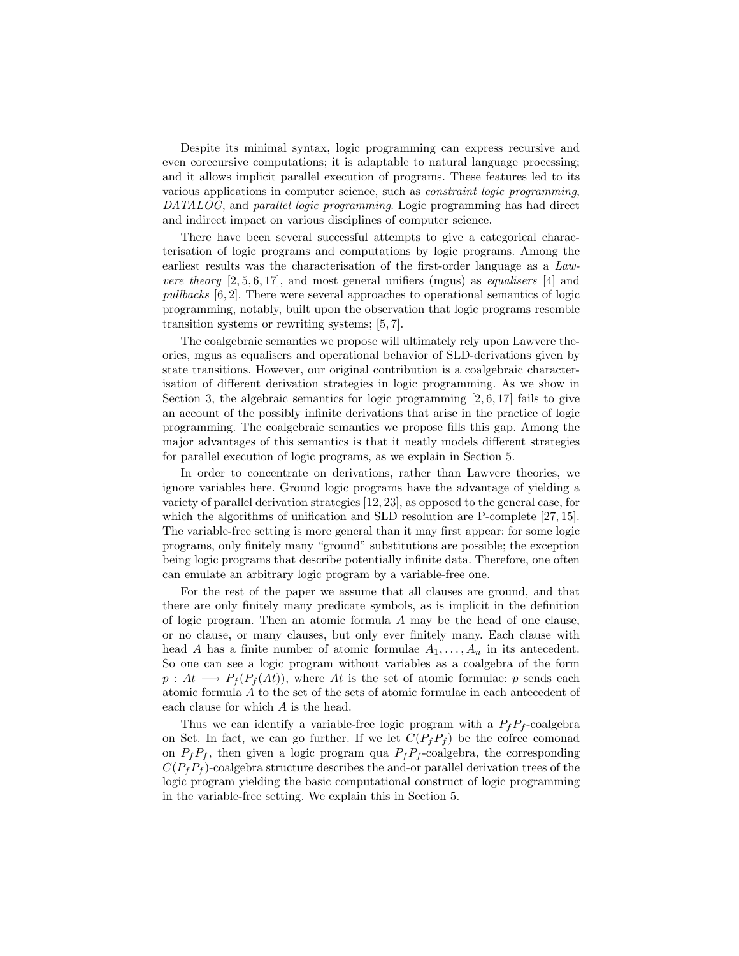Despite its minimal syntax, logic programming can express recursive and even corecursive computations; it is adaptable to natural language processing; and it allows implicit parallel execution of programs. These features led to its various applications in computer science, such as constraint logic programming, DATALOG, and parallel logic programming. Logic programming has had direct and indirect impact on various disciplines of computer science.

There have been several successful attempts to give a categorical characterisation of logic programs and computations by logic programs. Among the earliest results was the characterisation of the first-order language as a Law*vere theory*  $[2, 5, 6, 17]$ , and most general unifiers (mgus) as *equalisers* [4] and pullbacks [6, 2]. There were several approaches to operational semantics of logic programming, notably, built upon the observation that logic programs resemble transition systems or rewriting systems; [5, 7].

The coalgebraic semantics we propose will ultimately rely upon Lawvere theories, mgus as equalisers and operational behavior of SLD-derivations given by state transitions. However, our original contribution is a coalgebraic characterisation of different derivation strategies in logic programming. As we show in Section 3, the algebraic semantics for logic programming  $[2, 6, 17]$  fails to give an account of the possibly infinite derivations that arise in the practice of logic programming. The coalgebraic semantics we propose fills this gap. Among the major advantages of this semantics is that it neatly models different strategies for parallel execution of logic programs, as we explain in Section 5.

In order to concentrate on derivations, rather than Lawvere theories, we ignore variables here. Ground logic programs have the advantage of yielding a variety of parallel derivation strategies [12, 23], as opposed to the general case, for which the algorithms of unification and SLD resolution are P-complete [27, 15]. The variable-free setting is more general than it may first appear: for some logic programs, only finitely many "ground" substitutions are possible; the exception being logic programs that describe potentially infinite data. Therefore, one often can emulate an arbitrary logic program by a variable-free one.

For the rest of the paper we assume that all clauses are ground, and that there are only finitely many predicate symbols, as is implicit in the definition of logic program. Then an atomic formula A may be the head of one clause, or no clause, or many clauses, but only ever finitely many. Each clause with head A has a finite number of atomic formulae  $A_1, \ldots, A_n$  in its antecedent. So one can see a logic program without variables as a coalgebra of the form  $p: At \longrightarrow P_f(P_f(At))$ , where At is the set of atomic formulae: p sends each atomic formula A to the set of the sets of atomic formulae in each antecedent of each clause for which A is the head.

Thus we can identify a variable-free logic program with a  $P_f P_f$ -coalgebra on Set. In fact, we can go further. If we let  $C(P_fP_f)$  be the cofree comonad on  $P_fP_f$ , then given a logic program qua  $P_fP_f$ -coalgebra, the corresponding  $C(P_fP_f)$ -coalgebra structure describes the and-or parallel derivation trees of the logic program yielding the basic computational construct of logic programming in the variable-free setting. We explain this in Section 5.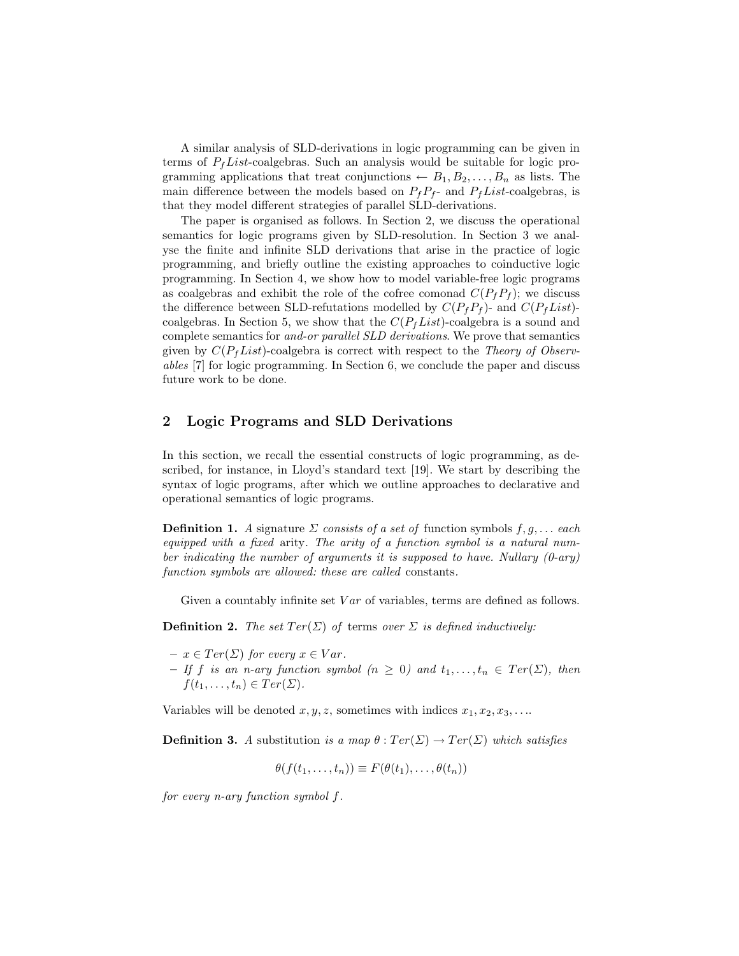A similar analysis of SLD-derivations in logic programming can be given in terms of  $P_fList$ -coalgebras. Such an analysis would be suitable for logic programming applications that treat conjunctions  $\leftarrow B_1, B_2, \ldots, B_n$  as lists. The main difference between the models based on  $P_fP_f$ - and  $P_fList$ -coalgebras, is that they model different strategies of parallel SLD-derivations.

The paper is organised as follows. In Section 2, we discuss the operational semantics for logic programs given by SLD-resolution. In Section 3 we analyse the finite and infinite SLD derivations that arise in the practice of logic programming, and briefly outline the existing approaches to coinductive logic programming. In Section 4, we show how to model variable-free logic programs as coalgebras and exhibit the role of the cofree comonad  $C(P_f P_f)$ ; we discuss the difference between SLD-refutations modelled by  $C(P_fP_f)$ - and  $C(P_fList)$ coalgebras. In Section 5, we show that the  $C(P_fList)$ -coalgebra is a sound and complete semantics for and-or parallel SLD derivations. We prove that semantics given by  $C(P_fList)$ -coalgebra is correct with respect to the Theory of Observables [7] for logic programming. In Section 6, we conclude the paper and discuss future work to be done.

### 2 Logic Programs and SLD Derivations

In this section, we recall the essential constructs of logic programming, as described, for instance, in Lloyd's standard text [19]. We start by describing the syntax of logic programs, after which we outline approaches to declarative and operational semantics of logic programs.

**Definition 1.** A signature  $\Sigma$  consists of a set of function symbols  $f, g, \ldots$  each equipped with a fixed arity. The arity of a function symbol is a natural number indicating the number of arguments it is supposed to have. Nullary  $(0-ary)$ function symbols are allowed: these are called constants.

Given a countably infinite set  $Var$  of variables, terms are defined as follows.

**Definition 2.** The set  $Ter(\Sigma)$  of terms over  $\Sigma$  is defined inductively:

- $x \in Ter(\Sigma)$  for every  $x \in Var$ .
- If f is an n-ary function symbol  $(n \geq 0)$  and  $t_1, \ldots, t_n \in Ter(\Sigma)$ , then  $f(t_1,\ldots,t_n)\in Ter(\Sigma).$

Variables will be denoted  $x, y, z$ , sometimes with indices  $x_1, x_2, x_3, \ldots$ 

**Definition 3.** A substitution is a map  $\theta : Ter(\Sigma) \to Ter(\Sigma)$  which satisfies

$$
\theta(f(t_1,\ldots,t_n))\equiv F(\theta(t_1),\ldots,\theta(t_n))
$$

for every n-ary function symbol f.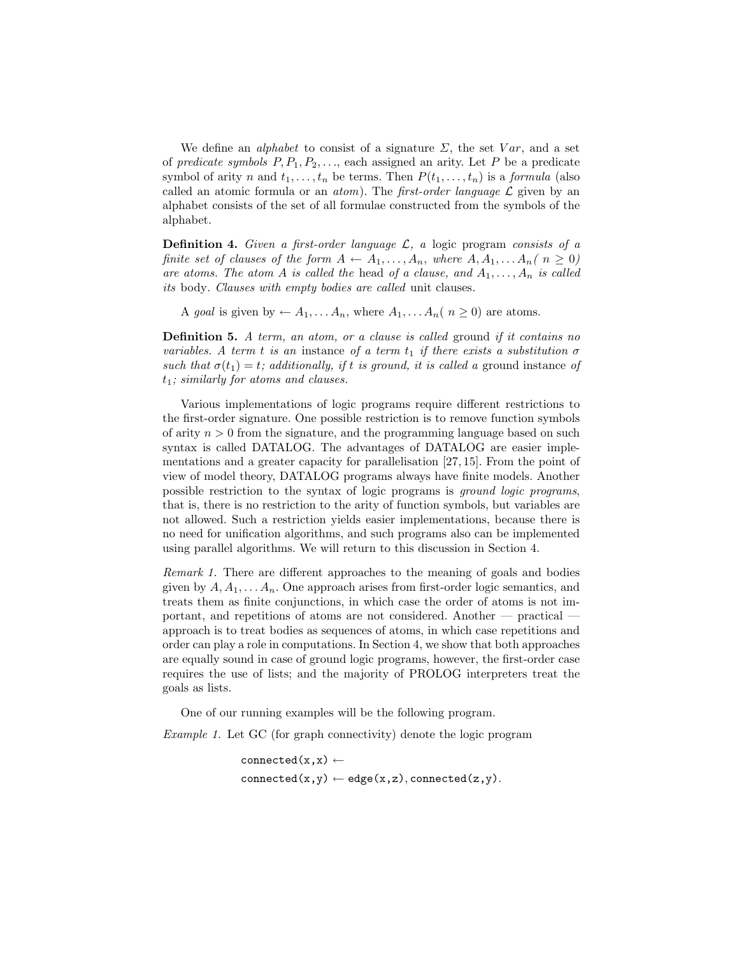We define an *alphabet* to consist of a signature  $\Sigma$ , the set Var, and a set of predicate symbols  $P, P_1, P_2, \ldots$ , each assigned an arity. Let P be a predicate symbol of arity n and  $t_1, \ldots, t_n$  be terms. Then  $P(t_1, \ldots, t_n)$  is a formula (also called an atomic formula or an *atom*). The *first-order language*  $\mathcal{L}$  given by an alphabet consists of the set of all formulae constructed from the symbols of the alphabet.

**Definition 4.** Given a first-order language  $\mathcal{L}$ , a logic program consists of a finite set of clauses of the form  $A \leftarrow A_1, \ldots, A_n$ , where  $A, A_1, \ldots, A_n$  ( $n \geq 0$ ) are atoms. The atom A is called the head of a clause, and  $A_1, \ldots, A_n$  is called its body. Clauses with empty bodies are called unit clauses.

A goal is given by  $\leftarrow A_1, \ldots A_n$ , where  $A_1, \ldots A_n$  ( $n \geq 0$ ) are atoms.

Definition 5. A term, an atom, or a clause is called ground if it contains no variables. A term t is an instance of a term  $t_1$  if there exists a substitution  $\sigma$ such that  $\sigma(t_1) = t$ ; additionally, if t is ground, it is called a ground instance of  $t_1$ ; similarly for atoms and clauses.

Various implementations of logic programs require different restrictions to the first-order signature. One possible restriction is to remove function symbols of arity  $n > 0$  from the signature, and the programming language based on such syntax is called DATALOG. The advantages of DATALOG are easier implementations and a greater capacity for parallelisation [27, 15]. From the point of view of model theory, DATALOG programs always have finite models. Another possible restriction to the syntax of logic programs is ground logic programs, that is, there is no restriction to the arity of function symbols, but variables are not allowed. Such a restriction yields easier implementations, because there is no need for unification algorithms, and such programs also can be implemented using parallel algorithms. We will return to this discussion in Section 4.

Remark 1. There are different approaches to the meaning of goals and bodies given by  $A, A_1, \ldots, A_n$ . One approach arises from first-order logic semantics, and treats them as finite conjunctions, in which case the order of atoms is not important, and repetitions of atoms are not considered. Another — practical approach is to treat bodies as sequences of atoms, in which case repetitions and order can play a role in computations. In Section 4, we show that both approaches are equally sound in case of ground logic programs, however, the first-order case requires the use of lists; and the majority of PROLOG interpreters treat the goals as lists.

One of our running examples will be the following program.

Example 1. Let GC (for graph connectivity) denote the logic program

connected $(x,x) \leftarrow$  $connected(x,y) \leftarrow edge(x,z), connected(z,y).$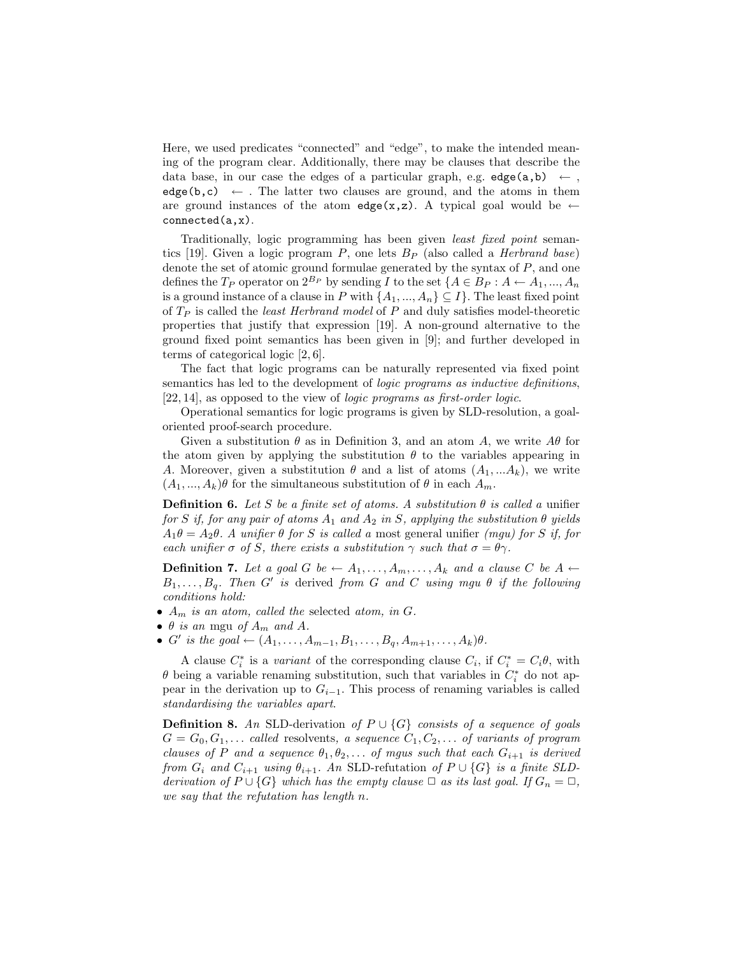Here, we used predicates "connected" and "edge", to make the intended meaning of the program clear. Additionally, there may be clauses that describe the data base, in our case the edges of a particular graph, e.g.  $edge(a,b) \leftarrow$ . edge(b,c)  $\leftarrow$ . The latter two clauses are ground, and the atoms in them are ground instances of the atom edge(x,z). A typical goal would be  $\leftarrow$ connected(a,x).

Traditionally, logic programming has been given least fixed point semantics [19]. Given a logic program P, one lets  $B_P$  (also called a *Herbrand base*) denote the set of atomic ground formulae generated by the syntax of P, and one defines the  $T_P$  operator on  $2^{B_P}$  by sending I to the set  $\{A \in B_P : A \leftarrow A_1, ..., A_n\}$ is a ground instance of a clause in P with  $\{A_1, ..., A_n\} \subseteq I$ . The least fixed point of  $T_P$  is called the *least Herbrand model* of  $P$  and duly satisfies model-theoretic properties that justify that expression [19]. A non-ground alternative to the ground fixed point semantics has been given in [9]; and further developed in terms of categorical logic [2, 6].

The fact that logic programs can be naturally represented via fixed point semantics has led to the development of *logic programs as inductive definitions*, [22, 14], as opposed to the view of logic programs as first-order logic.

Operational semantics for logic programs is given by SLD-resolution, a goaloriented proof-search procedure.

Given a substitution  $\theta$  as in Definition 3, and an atom A, we write  $A\theta$  for the atom given by applying the substitution  $\theta$  to the variables appearing in A. Moreover, given a substitution  $\theta$  and a list of atoms  $(A_1, ... A_k)$ , we write  $(A_1, ..., A_k)\theta$  for the simultaneous substitution of  $\theta$  in each  $A_m$ .

**Definition 6.** Let S be a finite set of atoms. A substitution  $\theta$  is called a unifier for S if, for any pair of atoms  $A_1$  and  $A_2$  in S, applying the substitution  $\theta$  yields  $A_1\theta = A_2\theta$ . A unifier  $\theta$  for S is called a most general unifier (mgu) for S if, for each unifier  $\sigma$  of S, there exists a substitution  $\gamma$  such that  $\sigma = \theta \gamma$ .

**Definition 7.** Let a goal G be  $\leftarrow A_1, \ldots, A_m, \ldots, A_k$  and a clause C be  $A \leftarrow$  $B_1, \ldots, B_q$ . Then G' is derived from G and C using mgu  $\theta$  if the following conditions hold:

- $A_m$  is an atom, called the selected atom, in  $G$ .
- $\theta$  is an mgu of  $A_m$  and  $A$ .
- G' is the goal  $\leftarrow (A_1, ..., A_{m-1}, B_1, ..., B_q, A_{m+1}, ..., A_k)\theta$ .

A clause  $C_i^*$  is a variant of the corresponding clause  $C_i$ , if  $C_i^* = C_i \theta$ , with  $\theta$  being a variable renaming substitution, such that variables in  $C_i^*$  do not appear in the derivation up to  $G_{i-1}$ . This process of renaming variables is called standardising the variables apart.

**Definition 8.** An SLD-derivation of  $P \cup \{G\}$  consists of a sequence of goals  $G = G_0, G_1, \ldots$  called resolvents, a sequence  $C_1, C_2, \ldots$  of variants of program clauses of P and a sequence  $\theta_1, \theta_2, \ldots$  of mgus such that each  $G_{i+1}$  is derived from  $G_i$  and  $C_{i+1}$  using  $\theta_{i+1}$ . An SLD-refutation of  $P \cup \{G\}$  is a finite SLDderivation of  $P \cup \{G\}$  which has the empty clause  $\Box$  as its last goal. If  $G_n = \Box$ , we say that the refutation has length n.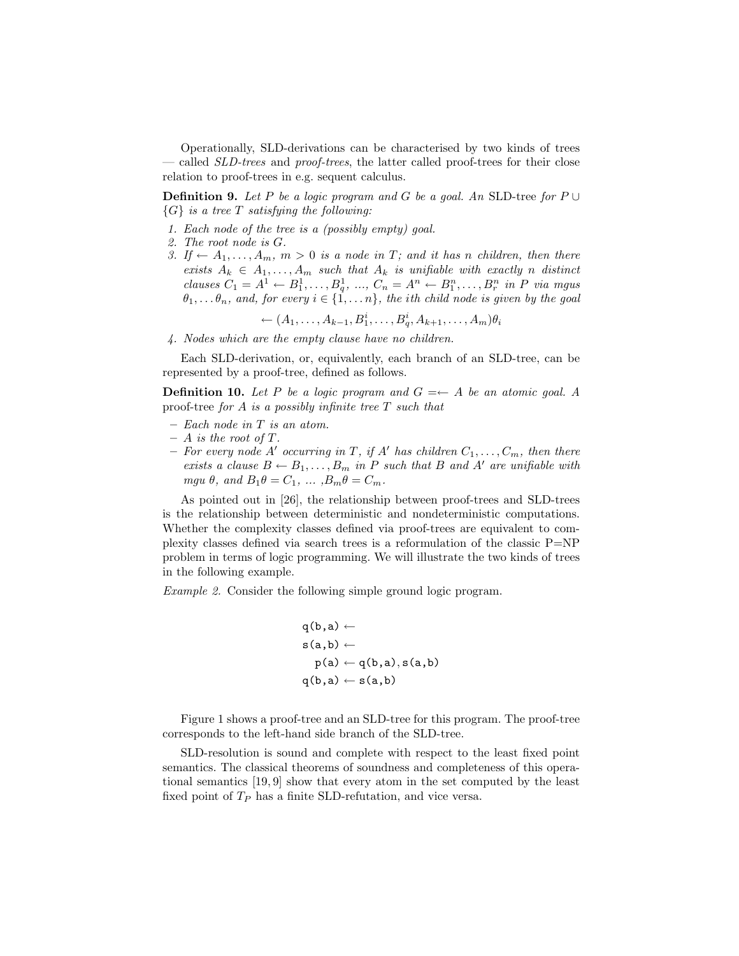Operationally, SLD-derivations can be characterised by two kinds of trees — called SLD-trees and proof-trees, the latter called proof-trees for their close relation to proof-trees in e.g. sequent calculus.

**Definition 9.** Let P be a logic program and G be a goal. An SLD-tree for  $P \cup$  ${G}$  is a tree T satisfying the following:

- 1. Each node of the tree is a (possibly empty) goal.
- 2. The root node is G.
- 3. If  $\leftarrow A_1, \ldots, A_m, m > 0$  is a node in T; and it has n children, then there exists  $A_k \in A_1, \ldots, A_m$  such that  $A_k$  is unifiable with exactly n distinct clauses  $C_1 = A^1 \leftarrow B_1^1, ..., B_q^1, ..., C_n = A^n \leftarrow B_1^n, ..., B_r^n$  in P via mgus  $\theta_1, \ldots \theta_n$ , and, for every  $i \in \{1, \ldots n\}$ , the ith child node is given by the goal

←  $(A_1, ..., A_{k-1}, B_1^i, ..., B_q^i, A_{k+1}, ..., A_m) \theta_i$ 

4. Nodes which are the empty clause have no children.

Each SLD-derivation, or, equivalently, each branch of an SLD-tree, can be represented by a proof-tree, defined as follows.

**Definition 10.** Let P be a logic program and  $G \rightleftharpoons A$  be an atomic goal. A proof-tree for A is a possibly infinite tree  $T$  such that

- Each node in T is an atom.
- $A$  is the root of  $T$ .
- For every node A' occurring in T, if A' has children  $C_1, \ldots, C_m$ , then there exists a clause  $B \leftarrow B_1, \ldots, B_m$  in P such that B and A' are unifiable with mgu  $\theta$ , and  $B_1\theta = C_1$ , ...,  $B_m\theta = C_m$ .

As pointed out in [26], the relationship between proof-trees and SLD-trees is the relationship between deterministic and nondeterministic computations. Whether the complexity classes defined via proof-trees are equivalent to complexity classes defined via search trees is a reformulation of the classic P=NP problem in terms of logic programming. We will illustrate the two kinds of trees in the following example.

Example 2. Consider the following simple ground logic program.

$$
q(b,a) \leftarrow
$$
  
s(a,b) \leftarrow  
p(a) \leftarrow q(b,a), s(a,b)  
q(b,a) \leftarrow s(a,b)

Figure 1 shows a proof-tree and an SLD-tree for this program. The proof-tree corresponds to the left-hand side branch of the SLD-tree.

SLD-resolution is sound and complete with respect to the least fixed point semantics. The classical theorems of soundness and completeness of this operational semantics [19, 9] show that every atom in the set computed by the least fixed point of  $T_P$  has a finite SLD-refutation, and vice versa.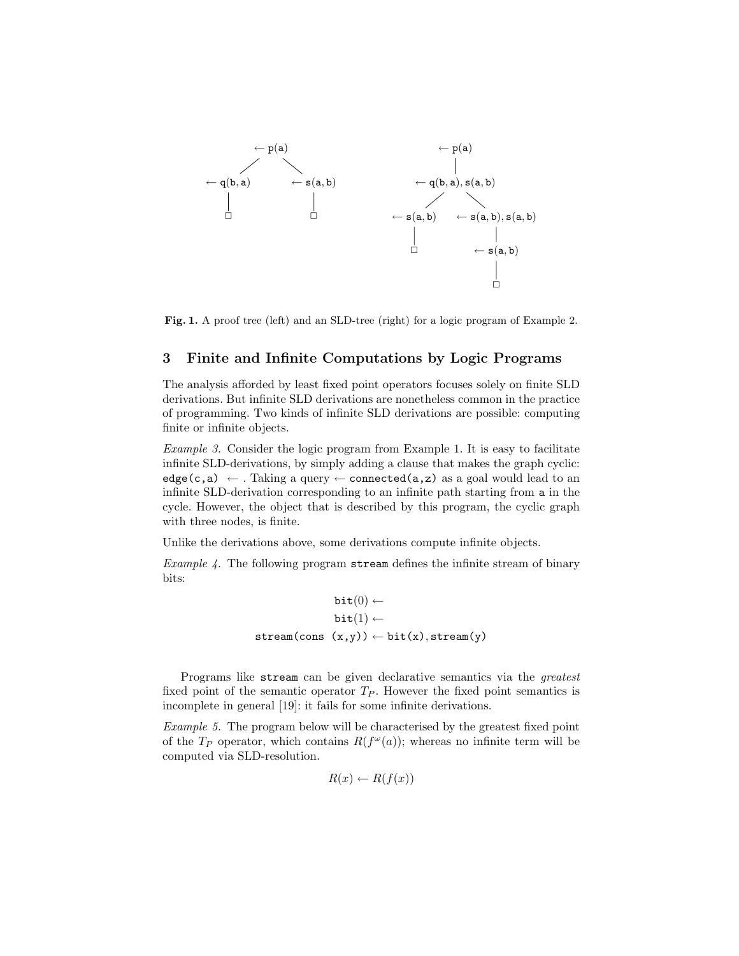

Fig. 1. A proof tree (left) and an SLD-tree (right) for a logic program of Example 2.

### 3 Finite and Infinite Computations by Logic Programs

The analysis afforded by least fixed point operators focuses solely on finite SLD derivations. But infinite SLD derivations are nonetheless common in the practice of programming. Two kinds of infinite SLD derivations are possible: computing finite or infinite objects.

Example 3. Consider the logic program from Example 1. It is easy to facilitate infinite SLD-derivations, by simply adding a clause that makes the graph cyclic: edge(c,a)  $\leftarrow$  . Taking a query  $\leftarrow$  connected(a,z) as a goal would lead to an infinite SLD-derivation corresponding to an infinite path starting from a in the cycle. However, the object that is described by this program, the cyclic graph with three nodes, is finite.

Unlike the derivations above, some derivations compute infinite objects.

Example 4. The following program stream defines the infinite stream of binary bits:

$$
\begin{array}{c} \texttt{bit}(0) \leftarrow \\ \texttt{bit}(1) \leftarrow \\ \texttt{stream(cons (x,y))} \leftarrow \texttt{bit(x)}, \texttt{stream(y)} \end{array}
$$

Programs like stream can be given declarative semantics via the greatest fixed point of the semantic operator  $T_P$ . However the fixed point semantics is incomplete in general [19]: it fails for some infinite derivations.

Example 5. The program below will be characterised by the greatest fixed point of the  $T_P$  operator, which contains  $R(f^{\omega}(a))$ ; whereas no infinite term will be computed via SLD-resolution.

$$
R(x) \leftarrow R(f(x))
$$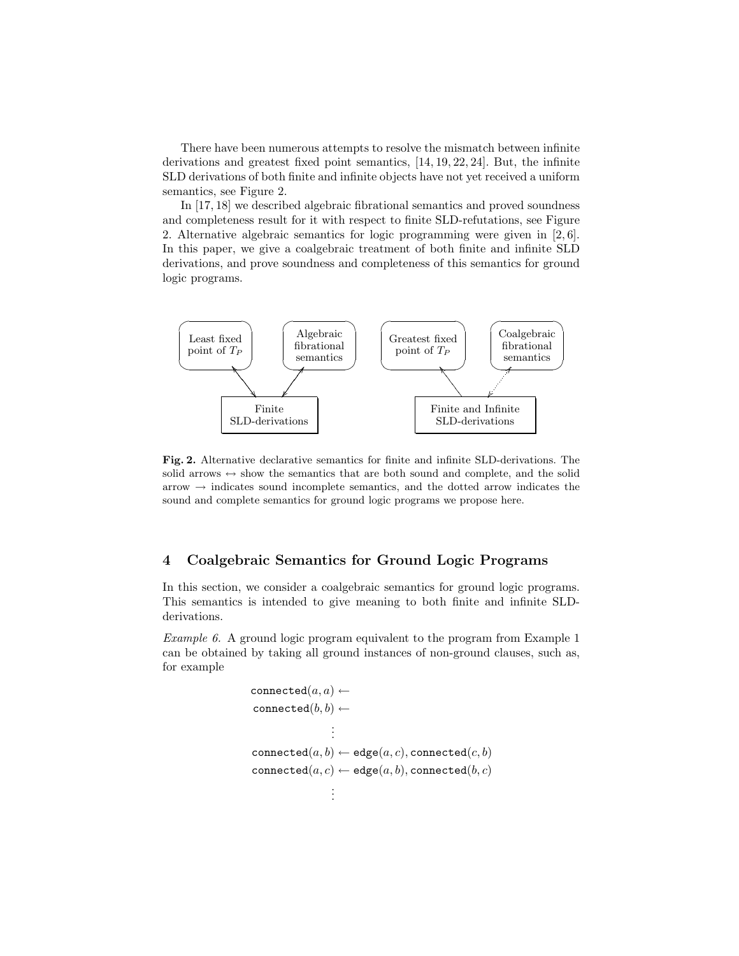There have been numerous attempts to resolve the mismatch between infinite derivations and greatest fixed point semantics, [14, 19, 22, 24]. But, the infinite SLD derivations of both finite and infinite objects have not yet received a uniform semantics, see Figure 2.

In [17, 18] we described algebraic fibrational semantics and proved soundness and completeness result for it with respect to finite SLD-refutations, see Figure 2. Alternative algebraic semantics for logic programming were given in [2, 6]. In this paper, we give a coalgebraic treatment of both finite and infinite SLD derivations, and prove soundness and completeness of this semantics for ground logic programs.



Fig. 2. Alternative declarative semantics for finite and infinite SLD-derivations. The solid arrows  $\leftrightarrow$  show the semantics that are both sound and complete, and the solid  $arrow \rightarrow$  indicates sound incomplete semantics, and the dotted arrow indicates the sound and complete semantics for ground logic programs we propose here.

### 4 Coalgebraic Semantics for Ground Logic Programs

In this section, we consider a coalgebraic semantics for ground logic programs. This semantics is intended to give meaning to both finite and infinite SLDderivations.

Example 6. A ground logic program equivalent to the program from Example 1 can be obtained by taking all ground instances of non-ground clauses, such as, for example

```
connected(a, a) \leftarrowconnected(b, b) \leftarrow.
                    .
                    .
connected(a, b) \leftarrow \text{edge}(a, c), connected(c, b)connected(a, c) \leftarrow edge(a, b), connected(b, c).
                    .
                    .
```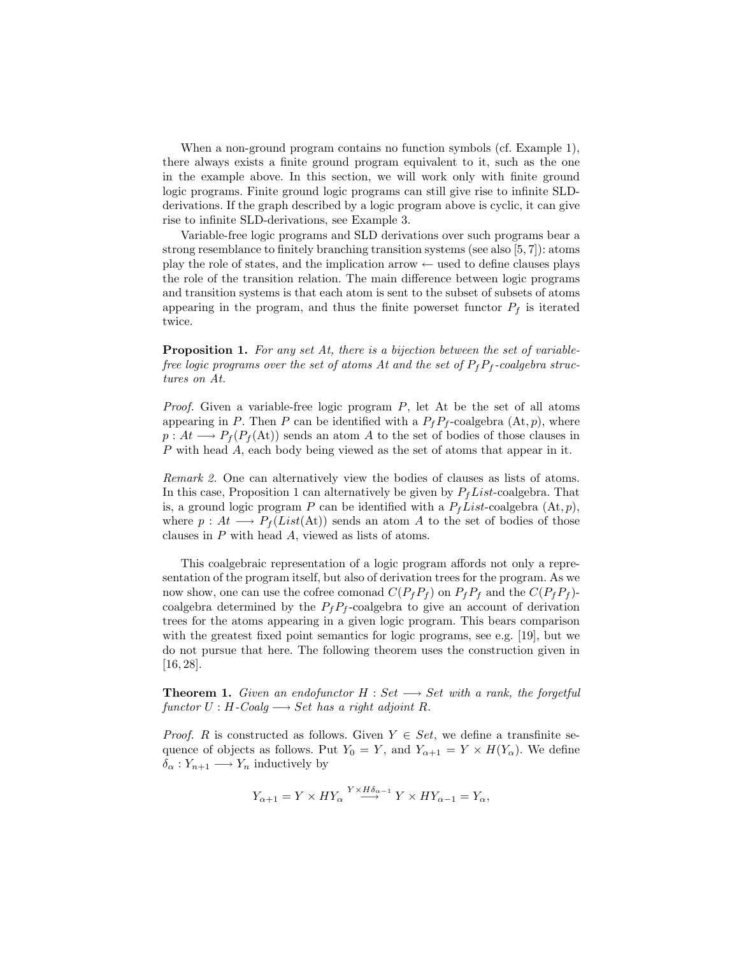When a non-ground program contains no function symbols (cf. Example 1), there always exists a finite ground program equivalent to it, such as the one in the example above. In this section, we will work only with finite ground logic programs. Finite ground logic programs can still give rise to infinite SLDderivations. If the graph described by a logic program above is cyclic, it can give rise to infinite SLD-derivations, see Example 3.

Variable-free logic programs and SLD derivations over such programs bear a strong resemblance to finitely branching transition systems (see also [5, 7]): atoms play the role of states, and the implication arrow  $\leftarrow$  used to define clauses plays the role of the transition relation. The main difference between logic programs and transition systems is that each atom is sent to the subset of subsets of atoms appearing in the program, and thus the finite powerset functor  $P_f$  is iterated twice.

Proposition 1. For any set At, there is a bijection between the set of variablefree logic programs over the set of atoms At and the set of  $P_fP_f$ -coalgebra structures on At.

*Proof.* Given a variable-free logic program  $P$ , let At be the set of all atoms appearing in P. Then P can be identified with a  $P_fP_f$ -coalgebra  $(\mathrm{At}, p)$ , where  $p: At \longrightarrow P_f(P_f(\text{At}))$  sends an atom A to the set of bodies of those clauses in P with head A, each body being viewed as the set of atoms that appear in it.

Remark 2. One can alternatively view the bodies of clauses as lists of atoms. In this case, Proposition 1 can alternatively be given by  $P_fList$ -coalgebra. That is, a ground logic program P can be identified with a  $P_fList\text{-coalgebra } (\mathbf{At}, p)$ , where  $p : At \longrightarrow P_f(List(At))$  sends an atom A to the set of bodies of those clauses in P with head A, viewed as lists of atoms.

This coalgebraic representation of a logic program affords not only a representation of the program itself, but also of derivation trees for the program. As we now show, one can use the cofree comonad  $C(P_f P_f)$  on  $P_f P_f$  and the  $C(P_f P_f)$ coalgebra determined by the  $P_fP_f$ -coalgebra to give an account of derivation trees for the atoms appearing in a given logic program. This bears comparison with the greatest fixed point semantics for logic programs, see e.g. [19], but we do not pursue that here. The following theorem uses the construction given in [16, 28].

**Theorem 1.** Given an endofunctor  $H : Set \longrightarrow Set$  with a rank, the forgetful  $functor U : H\text{-}Coalg \longrightarrow Set\ has\ a\ right\ adjoint R.$ 

*Proof.* R is constructed as follows. Given  $Y \in Set$ , we define a transfinite sequence of objects as follows. Put  $Y_0 = Y$ , and  $Y_{\alpha+1} = Y \times H(Y_\alpha)$ . We define  $\delta_{\alpha}: Y_{n+1} \longrightarrow Y_n$  inductively by

$$
Y_{\alpha+1} = Y \times HY_{\alpha} \xrightarrow{Y \times H\delta_{\alpha-1}} Y \times HY_{\alpha-1} = Y_{\alpha},
$$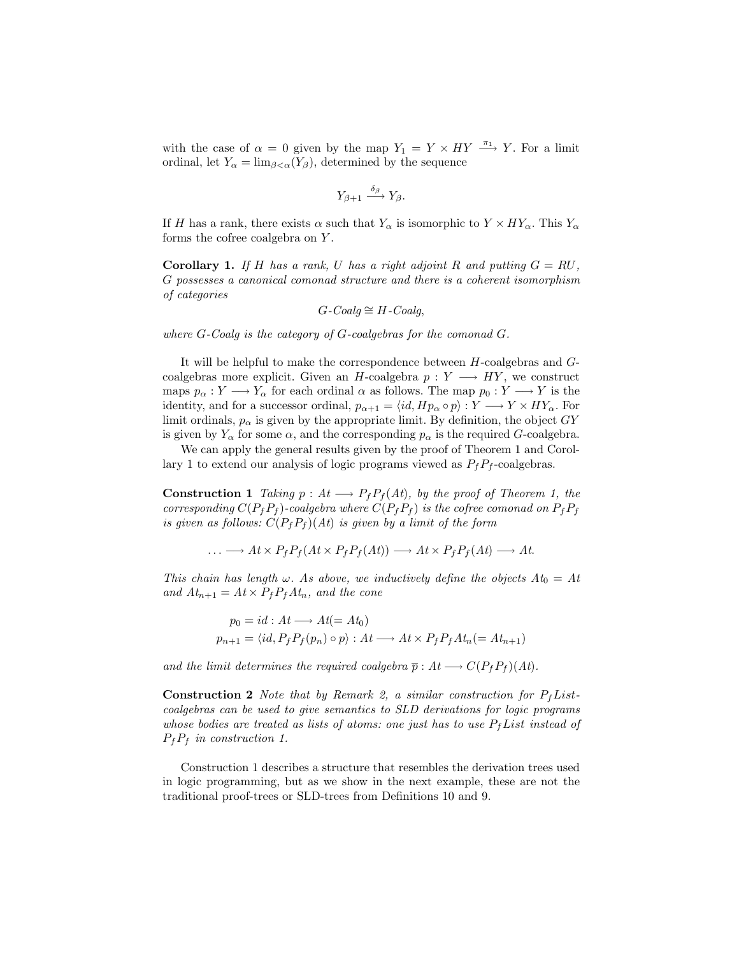with the case of  $\alpha = 0$  given by the map  $Y_1 = Y \times HY \stackrel{\pi_1}{\longrightarrow} Y$ . For a limit ordinal, let  $Y_{\alpha} = \lim_{\beta \leq \alpha} (Y_{\beta})$ , determined by the sequence

$$
Y_{\beta+1} \xrightarrow{\delta_{\beta}} Y_{\beta}.
$$

If H has a rank, there exists  $\alpha$  such that  $Y_{\alpha}$  is isomorphic to  $Y \times HY_{\alpha}$ . This  $Y_{\alpha}$ forms the cofree coalgebra on Y .

**Corollary 1.** If H has a rank, U has a right adjoint R and putting  $G = RU$ , G possesses a canonical comonad structure and there is a coherent isomorphism of categories

$$
G\text{-}Coalg \cong H\text{-}Coalg,
$$

where G-Coalg is the category of G-coalgebras for the comonad G.

It will be helpful to make the correspondence between H-coalgebras and Gcoalgebras more explicit. Given an H-coalgebra  $p: Y \longrightarrow HY$ , we construct maps  $p_{\alpha}: Y \longrightarrow Y_{\alpha}$  for each ordinal  $\alpha$  as follows. The map  $p_0: Y \longrightarrow Y$  is the identity, and for a successor ordinal,  $p_{\alpha+1} = \langle id, Hp_{\alpha} \circ p \rangle : Y \longrightarrow Y \times HY_{\alpha}$ . For limit ordinals,  $p_{\alpha}$  is given by the appropriate limit. By definition, the object  $GY$ is given by  $Y_\alpha$  for some  $\alpha$ , and the corresponding  $p_\alpha$  is the required G-coalgebra.

We can apply the general results given by the proof of Theorem 1 and Corollary 1 to extend our analysis of logic programs viewed as  $P_f P_f$ -coalgebras.

**Construction 1** Taking  $p : At \longrightarrow P_f P_f(At)$ , by the proof of Theorem 1, the corresponding  $C(P_fP_f)$ -coalgebra where  $C(P_fP_f)$  is the cofree comonad on  $P_fP_f$ is given as follows:  $C(P_f P_f)(At)$  is given by a limit of the form

 $\ldots \longrightarrow At \times P_f P_f (At \times P_f P_f (At)) \longrightarrow At \times P_f P_f (At) \longrightarrow At.$ 

This chain has length  $\omega$ . As above, we inductively define the objects  $At_0 = At$ and  $At_{n+1} = At \times P_f P_f At_n$ , and the cone

$$
p_0 = id : At \longrightarrow At (= At_0)
$$
  

$$
p_{n+1} = \langle id, P_f P_f(p_n) \circ p \rangle : At \longrightarrow At \times P_f P_f At_n (= At_{n+1})
$$

and the limit determines the required coalgebra  $\bar{p}: At \longrightarrow C(P_f P_f)(At)$ .

**Construction 2** Note that by Remark 2, a similar construction for  $P_fList$ coalgebras can be used to give semantics to SLD derivations for logic programs whose bodies are treated as lists of atoms: one just has to use  $P_fList$  instead of  $P_fP_f$  in construction 1.

Construction 1 describes a structure that resembles the derivation trees used in logic programming, but as we show in the next example, these are not the traditional proof-trees or SLD-trees from Definitions 10 and 9.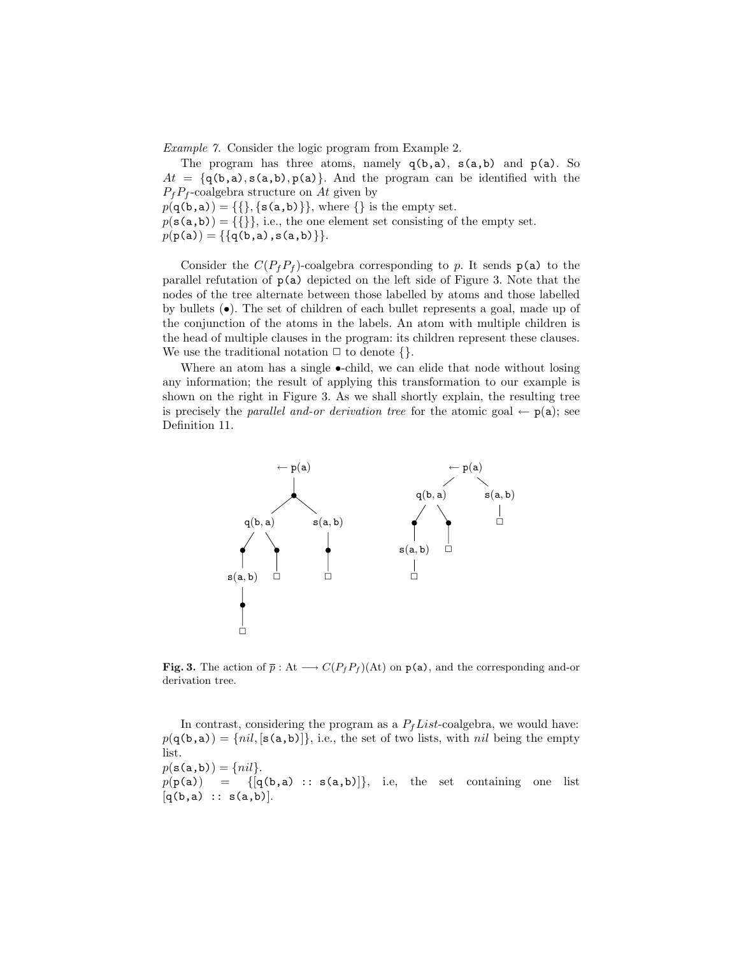Example 7. Consider the logic program from Example 2.

The program has three atoms, namely  $q(b,a)$ ,  $s(a,b)$  and  $p(a)$ . So  $At = \{q(b,a), s(a,b), p(a)\}.$  And the program can be identified with the  $P_fP_f$ -coalgebra structure on At given by  $p(\mathbf{q(b, a)}) = \{\{\}, \{\mathbf{s(a, b)}\}\}\$ , where  $\{\}$  is the empty set.  $p(\mathbf{s}(a,b)) = \{\{\}\}\$ , i.e., the one element set consisting of the empty set.  $p(\mathtt{p}(\mathtt{a})) = \{\{\mathtt{q}(\mathtt{b},\mathtt{a}), \mathtt{s}(\mathtt{a},\mathtt{b})\}\}.$ 

Consider the  $C(P_fP_f)$ -coalgebra corresponding to p. It sends  $p(a)$  to the parallel refutation of  $p(a)$  depicted on the left side of Figure 3. Note that the nodes of the tree alternate between those labelled by atoms and those labelled by bullets  $(\bullet)$ . The set of children of each bullet represents a goal, made up of the conjunction of the atoms in the labels. An atom with multiple children is the head of multiple clauses in the program: its children represent these clauses. We use the traditional notation  $\Box$  to denote  $\{\}.$ 

Where an atom has a single  $\bullet$ -child, we can elide that node without losing any information; the result of applying this transformation to our example is shown on the right in Figure 3. As we shall shortly explain, the resulting tree is precisely the *parallel and-or derivation tree* for the atomic goal  $\leftarrow$   $p(a)$ ; see Definition 11.



**Fig. 3.** The action of  $\bar{p}$  : At  $\longrightarrow C(P_f P_f)(\text{At})$  on  $p(a)$ , and the corresponding and-or derivation tree.

In contrast, considering the program as a  $P_fList$ -coalgebra, we would have:  $p(\mathsf{q}(b,a)) = \{nil, [\mathsf{s}(a,b)]\}$ , i.e., the set of two lists, with nil being the empty list.  $p(\mathbf{s}(\mathbf{a},\mathbf{b})) = \{nil\}.$  $p(\mathbf{p}(\mathbf{a})) = \{[\mathbf{q}(\mathbf{b}, \mathbf{a}) : : \mathbf{s}(\mathbf{a}, \mathbf{b})]\},\$ i.e, the set containing one list  $[q(b,a) :: s(a,b)].$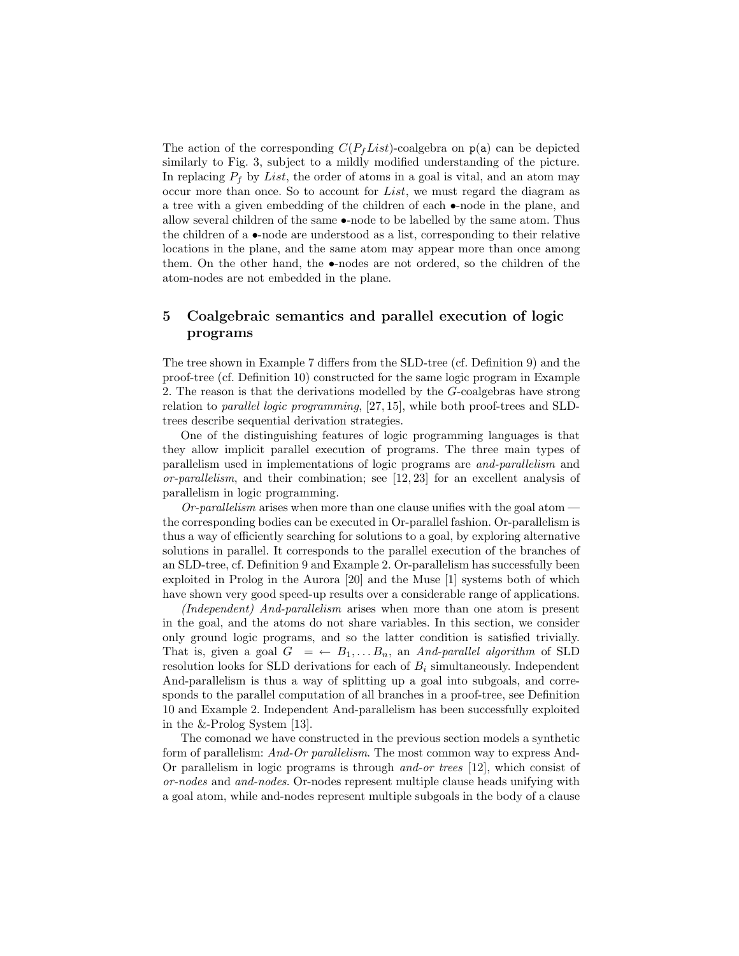The action of the corresponding  $C(P_fList)$ -coalgebra on  $p(a)$  can be depicted similarly to Fig. 3, subject to a mildly modified understanding of the picture. In replacing  $P_f$  by List, the order of atoms in a goal is vital, and an atom may occur more than once. So to account for List, we must regard the diagram as a tree with a given embedding of the children of each •-node in the plane, and allow several children of the same •-node to be labelled by the same atom. Thus the children of a •-node are understood as a list, corresponding to their relative locations in the plane, and the same atom may appear more than once among them. On the other hand, the •-nodes are not ordered, so the children of the atom-nodes are not embedded in the plane.

## 5 Coalgebraic semantics and parallel execution of logic programs

The tree shown in Example 7 differs from the SLD-tree (cf. Definition 9) and the proof-tree (cf. Definition 10) constructed for the same logic program in Example 2. The reason is that the derivations modelled by the G-coalgebras have strong relation to parallel logic programming, [27, 15], while both proof-trees and SLDtrees describe sequential derivation strategies.

One of the distinguishing features of logic programming languages is that they allow implicit parallel execution of programs. The three main types of parallelism used in implementations of logic programs are and-parallelism and or-parallelism, and their combination; see [12, 23] for an excellent analysis of parallelism in logic programming.

 $Or$ -parallelism arises when more than one clause unifies with the goal atom  $$ the corresponding bodies can be executed in Or-parallel fashion. Or-parallelism is thus a way of efficiently searching for solutions to a goal, by exploring alternative solutions in parallel. It corresponds to the parallel execution of the branches of an SLD-tree, cf. Definition 9 and Example 2. Or-parallelism has successfully been exploited in Prolog in the Aurora [20] and the Muse [1] systems both of which have shown very good speed-up results over a considerable range of applications.

(Independent) And-parallelism arises when more than one atom is present in the goal, and the atoms do not share variables. In this section, we consider only ground logic programs, and so the latter condition is satisfied trivially. That is, given a goal  $G = \leftarrow B_1, \ldots, B_n$ , an And-parallel algorithm of SLD resolution looks for SLD derivations for each of  $B_i$  simultaneously. Independent And-parallelism is thus a way of splitting up a goal into subgoals, and corresponds to the parallel computation of all branches in a proof-tree, see Definition 10 and Example 2. Independent And-parallelism has been successfully exploited in the &-Prolog System [13].

The comonad we have constructed in the previous section models a synthetic form of parallelism: And-Or parallelism. The most common way to express And-Or parallelism in logic programs is through and-or trees [12], which consist of or-nodes and and-nodes. Or-nodes represent multiple clause heads unifying with a goal atom, while and-nodes represent multiple subgoals in the body of a clause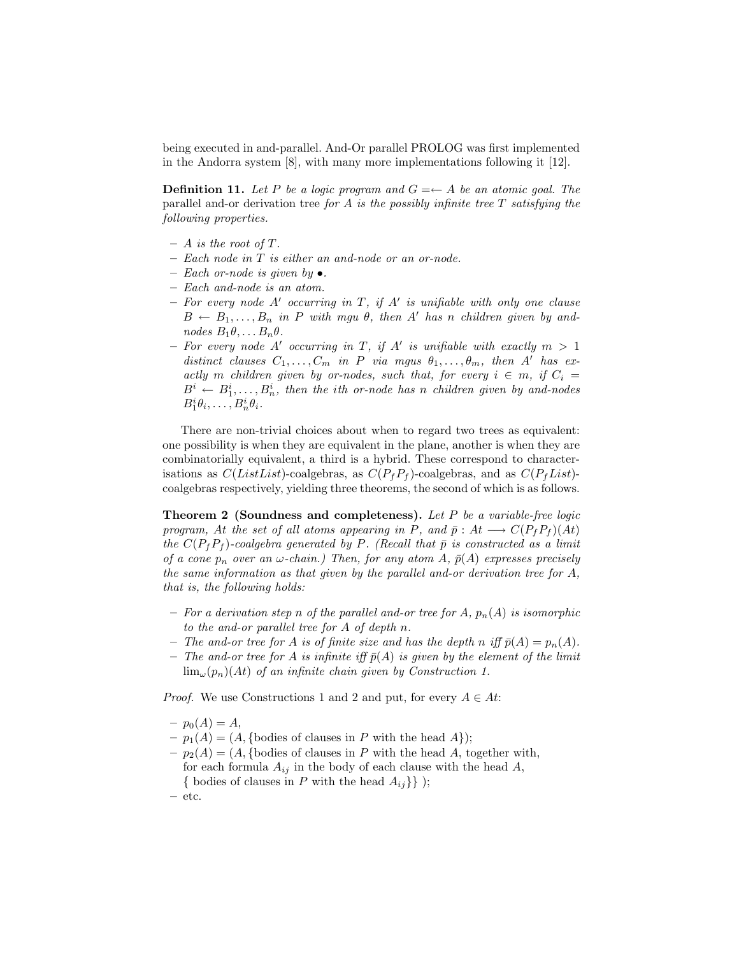being executed in and-parallel. And-Or parallel PROLOG was first implemented in the Andorra system [8], with many more implementations following it [12].

**Definition 11.** Let P be a logic program and  $G = \leftarrow A$  be an atomic goal. The parallel and-or derivation tree for A is the possibly infinite tree  $T$  satisfying the following properties.

- $A$  is the root of T.
- Each node in T is either an and-node or an or-node.
- Each or-node is given by  $\bullet$ .
- Each and-node is an atom.
- $-$  For every node A' occurring in T, if A' is unifiable with only one clause  $B \leftarrow B_1, \ldots, B_n$  in P with mgu  $\theta$ , then A' has n children given by andnodes  $B_1\theta, \ldots B_n\theta$ .
- For every node A' occurring in T, if A' is unifiable with exactly  $m > 1$ distinct clauses  $C_1, \ldots, C_m$  in P via mgus  $\theta_1, \ldots, \theta_m$ , then A' has exactly m children given by or-nodes, such that, for every  $i \in m$ , if  $C_i =$  $B^i \leftarrow B^i_1, \ldots, B^i_n$ , then the ith or-node has n children given by and-nodes  $B_1^i\theta_i,\ldots,B_n^i\theta_i.$

There are non-trivial choices about when to regard two trees as equivalent: one possibility is when they are equivalent in the plane, another is when they are combinatorially equivalent, a third is a hybrid. These correspond to characterisations as  $C(ListList)$ -coalgebras, as  $C(P_fP_f)$ -coalgebras, and as  $C(P_fList)$ coalgebras respectively, yielding three theorems, the second of which is as follows.

Theorem 2 (Soundness and completeness). Let P be a variable-free logic program, At the set of all atoms appearing in P, and  $\bar{p}: At \longrightarrow C(P_fP_f)(At)$ the  $C(P_fP_f)$ -coalgebra generated by P. (Recall that  $\bar{p}$  is constructed as a limit of a cone  $p_n$  over an  $\omega$ -chain.) Then, for any atom A,  $\bar{p}(A)$  expresses precisely the same information as that given by the parallel and-or derivation tree for  $A$ , that is, the following holds:

- For a derivation step n of the parallel and-or tree for A,  $p_n(A)$  is isomorphic to the and-or parallel tree for A of depth n.
- The and-or tree for A is of finite size and has the depth n iff  $\bar{p}(A) = p_n(A)$ .
- The and-or tree for A is infinite iff  $\bar{p}(A)$  is given by the element of the limit  $\lim_{\omega}(p_n)(At)$  of an infinite chain given by Construction 1.

*Proof.* We use Constructions 1 and 2 and put, for every  $A \in At$ :

- $-p_0(A) = A$ ,
- $-p_1(A) = (A, \{\text{bodies of clauses in } P \text{ with the head } A\});$
- $p_2(A) = (A, \{\text{bodies of clauses in } P \text{ with the head } A, \text{ together with,}\}$ for each formula  $A_{ij}$  in the body of each clause with the head  $A$ , { bodies of clauses in P with the head  $A_{ij}$ } };
- etc.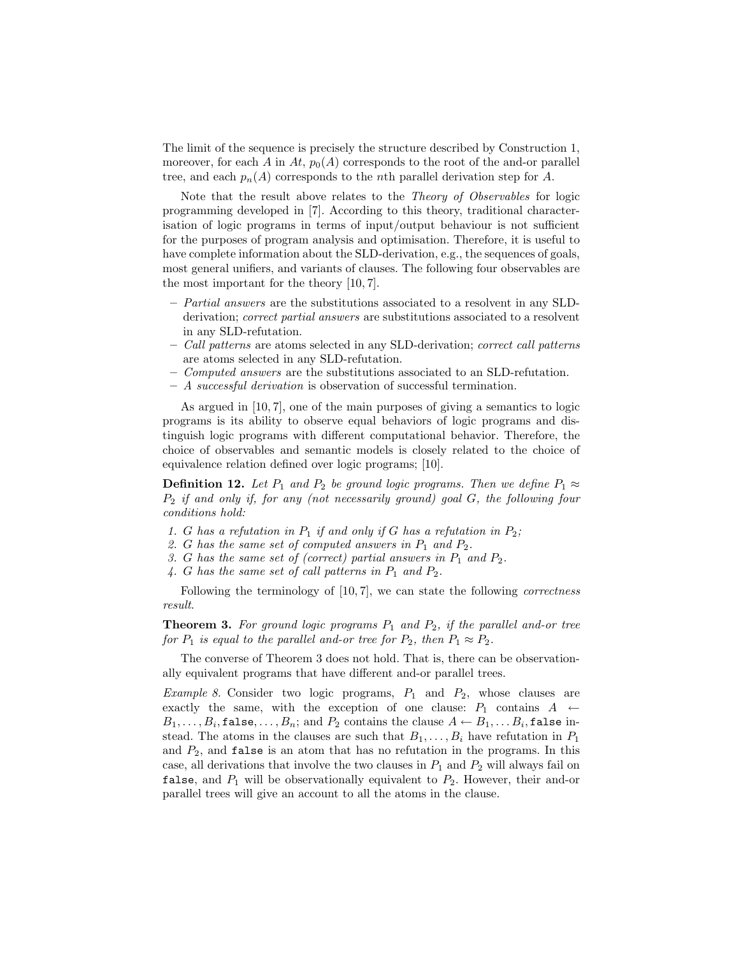The limit of the sequence is precisely the structure described by Construction 1, moreover, for each A in At,  $p_0(A)$  corresponds to the root of the and-or parallel tree, and each  $p_n(A)$  corresponds to the *n*th parallel derivation step for A.

Note that the result above relates to the Theory of Observables for logic programming developed in [7]. According to this theory, traditional characterisation of logic programs in terms of input/output behaviour is not sufficient for the purposes of program analysis and optimisation. Therefore, it is useful to have complete information about the SLD-derivation, e.g., the sequences of goals, most general unifiers, and variants of clauses. The following four observables are the most important for the theory [10, 7].

- Partial answers are the substitutions associated to a resolvent in any SLDderivation; correct partial answers are substitutions associated to a resolvent in any SLD-refutation.
- Call patterns are atoms selected in any SLD-derivation; correct call patterns are atoms selected in any SLD-refutation.
- Computed answers are the substitutions associated to an SLD-refutation.
- A successful derivation is observation of successful termination.

As argued in  $[10, 7]$ , one of the main purposes of giving a semantics to logic programs is its ability to observe equal behaviors of logic programs and distinguish logic programs with different computational behavior. Therefore, the choice of observables and semantic models is closely related to the choice of equivalence relation defined over logic programs; [10].

**Definition 12.** Let  $P_1$  and  $P_2$  be ground logic programs. Then we define  $P_1 \approx$  $P_2$  if and only if, for any (not necessarily ground) goal  $G$ , the following four conditions hold:

- 1. G has a refutation in  $P_1$  if and only if G has a refutation in  $P_2$ ;
- 2. G has the same set of computed answers in  $P_1$  and  $P_2$ .
- 3. G has the same set of (correct) partial answers in  $P_1$  and  $P_2$ .
- 4. G has the same set of call patterns in  $P_1$  and  $P_2$ .

Following the terminology of [10, 7], we can state the following *correctness* result.

**Theorem 3.** For ground logic programs  $P_1$  and  $P_2$ , if the parallel and-or tree for  $P_1$  is equal to the parallel and-or tree for  $P_2$ , then  $P_1 \approx P_2$ .

The converse of Theorem 3 does not hold. That is, there can be observationally equivalent programs that have different and-or parallel trees.

*Example 8.* Consider two logic programs,  $P_1$  and  $P_2$ , whose clauses are exactly the same, with the exception of one clause:  $P_1$  contains  $A \leftarrow$  $B_1, \ldots, B_i$ , false,  $\ldots, B_n$ ; and  $P_2$  contains the clause  $A \leftarrow B_1, \ldots B_i$ , false instead. The atoms in the clauses are such that  $B_1, \ldots, B_i$  have refutation in  $P_1$ and  $P_2$ , and false is an atom that has no refutation in the programs. In this case, all derivations that involve the two clauses in  $P_1$  and  $P_2$  will always fail on false, and  $P_1$  will be observationally equivalent to  $P_2$ . However, their and-or parallel trees will give an account to all the atoms in the clause.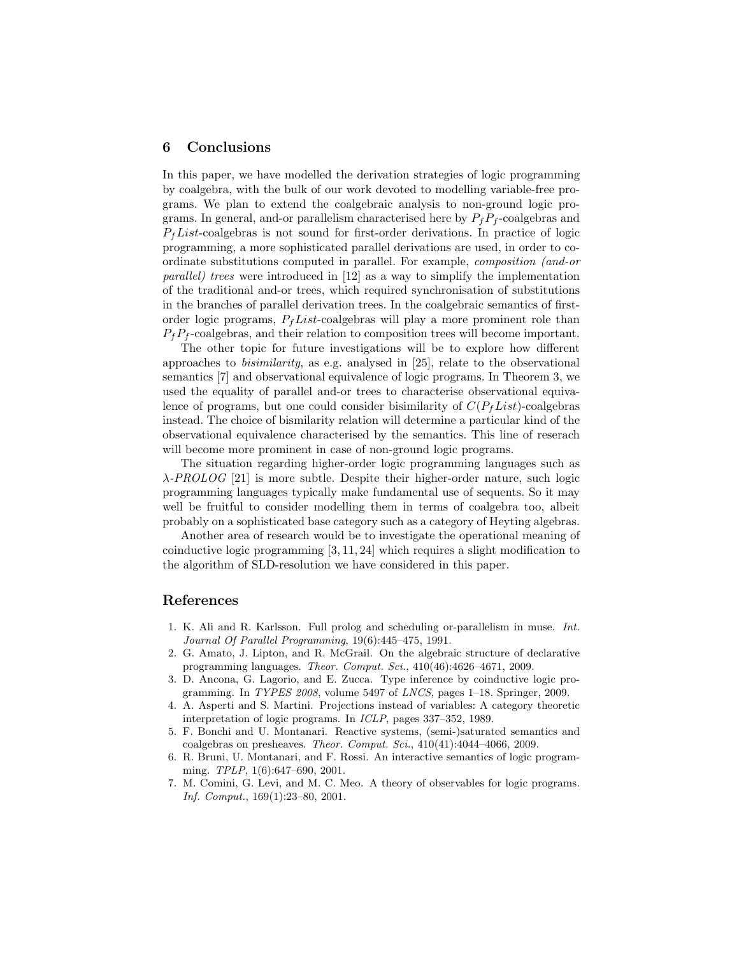#### 6 Conclusions

In this paper, we have modelled the derivation strategies of logic programming by coalgebra, with the bulk of our work devoted to modelling variable-free programs. We plan to extend the coalgebraic analysis to non-ground logic programs. In general, and-or parallelism characterised here by  $P_fP_f$ -coalgebras and  $P_tList$ -coalgebras is not sound for first-order derivations. In practice of logic programming, a more sophisticated parallel derivations are used, in order to coordinate substitutions computed in parallel. For example, composition (and-or parallel) trees were introduced in [12] as a way to simplify the implementation of the traditional and-or trees, which required synchronisation of substitutions in the branches of parallel derivation trees. In the coalgebraic semantics of firstorder logic programs,  $P_fList$ -coalgebras will play a more prominent role than  $P_fP_f$ -coalgebras, and their relation to composition trees will become important.

The other topic for future investigations will be to explore how different approaches to bisimilarity, as e.g. analysed in [25], relate to the observational semantics [7] and observational equivalence of logic programs. In Theorem 3, we used the equality of parallel and-or trees to characterise observational equivalence of programs, but one could consider bisimilarity of  $C(P_fList)$ -coalgebras instead. The choice of bismilarity relation will determine a particular kind of the observational equivalence characterised by the semantics. This line of reserach will become more prominent in case of non-ground logic programs.

The situation regarding higher-order logic programming languages such as  $\lambda$ -PROLOG [21] is more subtle. Despite their higher-order nature, such logic programming languages typically make fundamental use of sequents. So it may well be fruitful to consider modelling them in terms of coalgebra too, albeit probably on a sophisticated base category such as a category of Heyting algebras.

Another area of research would be to investigate the operational meaning of coinductive logic programming [3, 11, 24] which requires a slight modification to the algorithm of SLD-resolution we have considered in this paper.

#### References

- 1. K. Ali and R. Karlsson. Full prolog and scheduling or-parallelism in muse. Int. Journal Of Parallel Programming, 19(6):445–475, 1991.
- 2. G. Amato, J. Lipton, and R. McGrail. On the algebraic structure of declarative programming languages. Theor. Comput. Sci., 410(46):4626–4671, 2009.
- 3. D. Ancona, G. Lagorio, and E. Zucca. Type inference by coinductive logic programming. In TYPES 2008, volume 5497 of LNCS, pages 1–18. Springer, 2009.
- 4. A. Asperti and S. Martini. Projections instead of variables: A category theoretic interpretation of logic programs. In ICLP, pages 337–352, 1989.
- 5. F. Bonchi and U. Montanari. Reactive systems, (semi-)saturated semantics and coalgebras on presheaves. Theor. Comput. Sci., 410(41):4044–4066, 2009.
- 6. R. Bruni, U. Montanari, and F. Rossi. An interactive semantics of logic programming. TPLP, 1(6):647–690, 2001.
- 7. M. Comini, G. Levi, and M. C. Meo. A theory of observables for logic programs. Inf. Comput., 169(1):23–80, 2001.